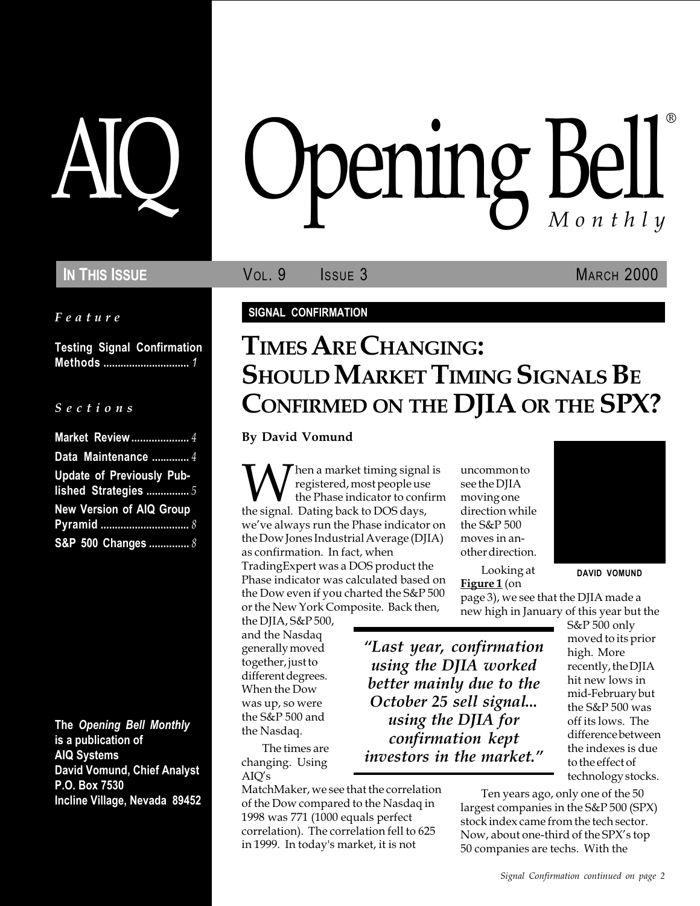Feature

Testing Signal Confirmation Methods .............................. 1

#### S e c t i o n s

| Market Review  4                                         |
|----------------------------------------------------------|
| Data Maintenance  4                                      |
| <b>Update of Previously Pub-</b><br>lished Strategies  5 |
| <b>New Version of AIQ Group</b>                          |
| S&P 500 Changes  8                                       |

The Opening Bell Monthly is a publication of AIQ Systems David Vomund, Chief Analyst P.O. Box 7530 Incline Village, Nevada 89452

# AIQ Opening Bell ®

**IN THIS ISSUE VOL. 9** ISSUE 3 MARCH 2000

#### SIGNAL CONFIRMATION

## TIMES ARE CHANGING: SHOULD MARKET TIMING SIGNALS BE CONFIRMED ON THE DJIA OR THE SPX?

By David Vomund

**W** registered, most people use<br>the Phase indicator to confirm<br>the signal. Dating back to DOS days, registered, most people use the Phase indicator to confirm we've always run the Phase indicator on the Dow Jones Industrial Average (DJIA) as confirmation. In fact, when TradingExpert was a DOS product the Phase indicator was calculated based on the Dow even if you charted the S&P 500 or the New York Composite. Back then,

the DJIA, S&P 500, and the Nasdaq generally moved together, just to different degrees. When the Dow was up, so were the S&P 500 and the Nasdaq.

The times are changing. Using  $AIO's$ 

MatchMaker, we see that the correlation of the Dow compared to the Nasdaq in 1998 was 771 (1000 equals perfect correlation). The correlation fell to 625 in 1999. In today's market, it is not

uncommon to see the DJIA moving one direction while the S&P 500 moves in another direction.

Looking at Figure 1 (on

page 3), we see that the DJIA made a new high in January of this year but the

DAVID VOMUND

moved to its prior high. More recently, the DJIA hit new lows in mid-February but the S&P 500 was off its lows. The difference between the indexes is due to the effect of technology stocks. using the DJIA for confirmation kept investors in the market.

> Ten years ago, only one of the 50 largest companies in the S&P 500 (SPX) stock index came from the tech sector. Now, about one-third of the SPX's top 50 companies are techs. With the

S&P 500 only Last year, confirmation using the DJIA worked better mainly due to the October 25 sell signal...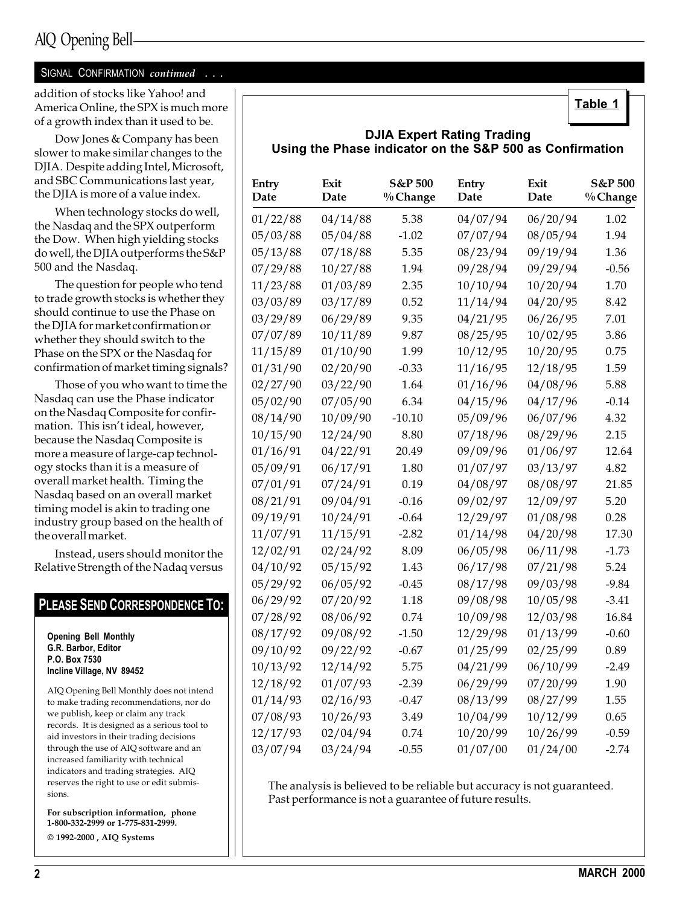#### SIGNAL CONFIRMATION continued . . .

addition of stocks like Yahoo! and America Online, the SPX is much more of a growth index than it used to be.

Dow Jones & Company has been slower to make similar changes to the DJIA. Despite adding Intel, Microsoft, and SBC Communications last year, the DJIA is more of a value index.

When technology stocks do well, the Nasdaq and the SPX outperform the Dow. When high yielding stocks do well, the DJIA outperforms the S&P 500 and the Nasdaq.

The question for people who tend to trade growth stocks is whether they should continue to use the Phase on the DJIA for market confirmation or whether they should switch to the Phase on the SPX or the Nasdaq for confirmation of market timing signals?

Those of you who want to time the Nasdaq can use the Phase indicator on the Nasdaq Composite for confirmation. This isn't ideal, however, because the Nasdaq Composite is more a measure of large-cap technology stocks than it is a measure of overall market health. Timing the Nasdaq based on an overall market timing model is akin to trading one industry group based on the health of the overall market.

Instead, users should monitor the Relative Strength of the Nadaq versus

#### PLEASE SEND CORRESPONDENCE TO:

Opening Bell Monthly G.R. Barbor, Editor P.O. Box 7530 Incline Village, NV 89452

AIQ Opening Bell Monthly does not intend to make trading recommendations, nor do we publish, keep or claim any track records. It is designed as a serious tool to aid investors in their trading decisions through the use of AIQ software and an increased familiarity with technical indicators and trading strategies. AIQ reserves the right to use or edit submissions.

For subscription information, phone 1-800-332-2999 or 1-775-831-2999. © 1992-2000 , AIQ Systems

Table 1

#### DJIA Expert Rating Trading Using the Phase indicator on the S&P 500 as Confirmation

| Entry<br>Date | Exit<br>Date | S&P 500<br>% Change | Entry<br>Date | Exit<br>Date | S&P 500<br>% Change |
|---------------|--------------|---------------------|---------------|--------------|---------------------|
| 01/22/88      | 04/14/88     | 5.38                | 04/07/94      | 06/20/94     | 1.02                |
| 05/03/88      | 05/04/88     | $-1.02$             | 07/07/94      | 08/05/94     | 1.94                |
| 05/13/88      | 07/18/88     | 5.35                | 08/23/94      | 09/19/94     | 1.36                |
| 07/29/88      | 10/27/88     | 1.94                | 09/28/94      | 09/29/94     | $-0.56$             |
| 11/23/88      | 01/03/89     | 2.35                | 10/10/94      | 10/20/94     | 1.70                |
| 03/03/89      | 03/17/89     | 0.52                | 11/14/94      | 04/20/95     | 8.42                |
| 03/29/89      | 06/29/89     | 9.35                | 04/21/95      | 06/26/95     | 7.01                |
| 07/07/89      | 10/11/89     | 9.87                | 08/25/95      | 10/02/95     | 3.86                |
| 11/15/89      | 01/10/90     | 1.99                | 10/12/95      | 10/20/95     | 0.75                |
| 01/31/90      | 02/20/90     | $-0.33$             | 11/16/95      | 12/18/95     | 1.59                |
| 02/27/90      | 03/22/90     | 1.64                | 01/16/96      | 04/08/96     | 5.88                |
| 05/02/90      | 07/05/90     | 6.34                | 04/15/96      | 04/17/96     | $-0.14$             |
| 08/14/90      | 10/09/90     | $-10.10$            | 05/09/96      | 06/07/96     | 4.32                |
| 10/15/90      | 12/24/90     | 8.80                | 07/18/96      | 08/29/96     | 2.15                |
| 01/16/91      | 04/22/91     | 20.49               | 09/09/96      | 01/06/97     | 12.64               |
| 05/09/91      | 06/17/91     | 1.80                | 01/07/97      | 03/13/97     | 4.82                |
| 07/01/91      | 07/24/91     | 0.19                | 04/08/97      | 08/08/97     | 21.85               |
| 08/21/91      | 09/04/91     | $-0.16$             | 09/02/97      | 12/09/97     | 5.20                |
| 09/19/91      | 10/24/91     | $-0.64$             | 12/29/97      | 01/08/98     | 0.28                |
| 11/07/91      | 11/15/91     | $-2.82$             | 01/14/98      | 04/20/98     | 17.30               |
| 12/02/91      | 02/24/92     | 8.09                | 06/05/98      | 06/11/98     | $-1.73$             |
| 04/10/92      | 05/15/92     | 1.43                | 06/17/98      | 07/21/98     | 5.24                |
| 05/29/92      | 06/05/92     | $-0.45$             | 08/17/98      | 09/03/98     | $-9.84$             |
| 06/29/92      | 07/20/92     | 1.18                | 09/08/98      | 10/05/98     | $-3.41$             |
| 07/28/92      | 08/06/92     | 0.74                | 10/09/98      | 12/03/98     | 16.84               |
| 08/17/92      | 09/08/92     | $-1.50$             | 12/29/98      | 01/13/99     | $-0.60$             |
| 09/10/92      | 09/22/92     | -0.67               | 01/25/99      | 02/25/99     | 0.89                |
| 10/13/92      | 12/14/92     | 5.75                | 04/21/99      | 06/10/99     | -2.49               |
| 12/18/92      | 01/07/93     | $-2.39$             | 06/29/99      | 07/20/99     | 1.90                |
| 01/14/93      | 02/16/93     | $-0.47$             | 08/13/99      | 08/27/99     | 1.55                |
| 07/08/93      | 10/26/93     | 3.49                | 10/04/99      | 10/12/99     | 0.65                |
| 12/17/93      | 02/04/94     | 0.74                | 10/20/99      | 10/26/99     | $-0.59$             |
| 03/07/94      | 03/24/94     | $-0.55$             | 01/07/00      | 01/24/00     | $-2.74$             |

The analysis is believed to be reliable but accuracy is not guaranteed. Past performance is not a guarantee of future results.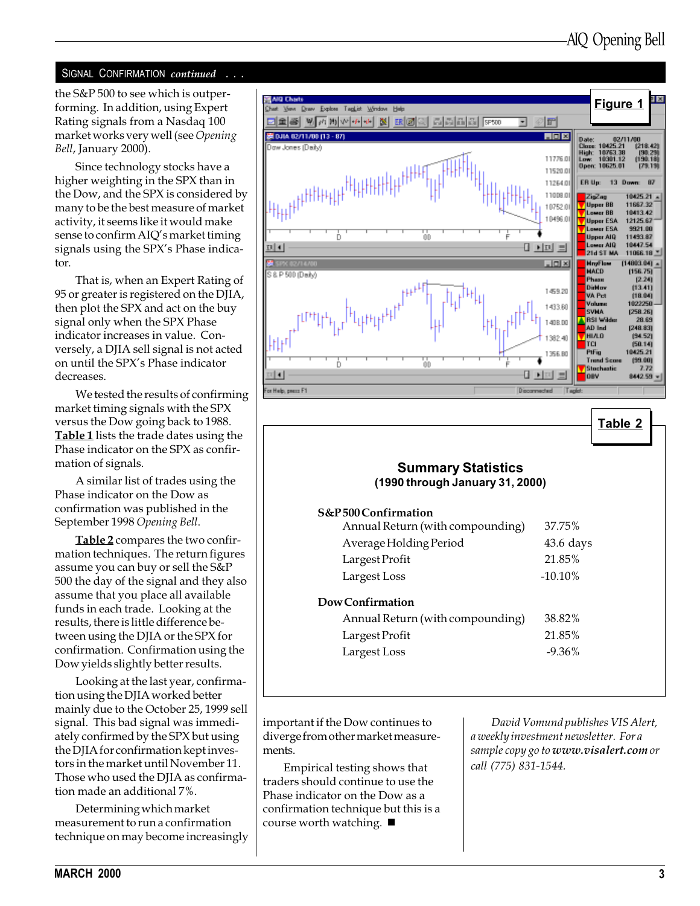#### SIGNAL CONFIRMATION continued . . .

the S&P 500 to see which is outperforming. In addition, using Expert Rating signals from a Nasdaq 100 market works very well (see Opening Bell, January 2000).

Since technology stocks have a higher weighting in the SPX than in the Dow, and the SPX is considered by many to be the best measure of market activity, it seems like it would make sense to confirm AIQ's market timing signals using the SPX's Phase indicator.

That is, when an Expert Rating of 95 or greater is registered on the DJIA, then plot the SPX and act on the buy signal only when the SPX Phase indicator increases in value. Conversely, a DJIA sell signal is not acted on until the SPX's Phase indicator decreases.

We tested the results of confirming market timing signals with the SPX versus the Dow going back to 1988. Table 1 lists the trade dates using the Phase indicator on the SPX as confirmation of signals.

A similar list of trades using the Phase indicator on the Dow as confirmation was published in the September 1998 Opening Bell.

Table 2 compares the two confirmation techniques. The return figures assume you can buy or sell the S&P 500 the day of the signal and they also assume that you place all available funds in each trade. Looking at the results, there is little difference between using the DJIA or the SPX for confirmation. Confirmation using the Dow yields slightly better results.

Looking at the last year, confirmation using the DJIA worked better mainly due to the October 25, 1999 sell signal. This bad signal was immediately confirmed by the SPX but using the DJIA for confirmation kept investors in the market until November 11. Those who used the DJIA as confirmation made an additional 7%.

Determining which market measurement to run a confirmation technique on may become increasingly



Table 2

## Summary Statistics (1990 through January 31, 2000)

#### S&P 500 Confirmation

| Annual Return (with compounding) | 37.75%      |
|----------------------------------|-------------|
| Average Holding Period           | $43.6$ days |
| Largest Profit                   | 21.85%      |
| Largest Loss                     | $-10.10\%$  |
|                                  |             |

#### Dow Confirmation

| Annual Return (with compounding) | 38.82%    |
|----------------------------------|-----------|
| Largest Profit                   | 21.85%    |
| Largest Loss                     | $-9.36\%$ |

important if the Dow continues to diverge from other market measurements.

Empirical testing shows that traders should continue to use the Phase indicator on the Dow as a confirmation technique but this is a course worth watching.  $\blacksquare$ 

David Vomund publishes VIS Alert, a weekly investment newsletter. For a sample copy go to www.visalert.com or call (775) 831-1544.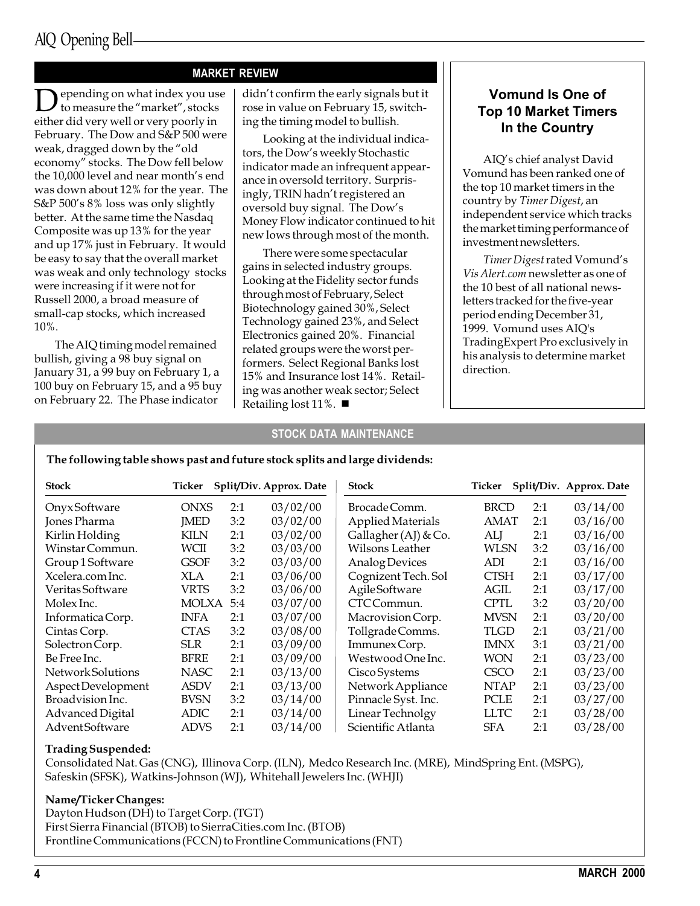#### MARKET REVIEW

epending on what index you use to measure the "market", stocks either did very well or very poorly in February. The Dow and S&P 500 were weak, dragged down by the "old economy" stocks. The Dow fell below the 10,000 level and near month's end was down about 12% for the year. The S&P 500's 8% loss was only slightly better. At the same time the Nasdaq Composite was up 13% for the year and up 17% just in February. It would be easy to say that the overall market was weak and only technology stocks were increasing if it were not for Russell 2000, a broad measure of small-cap stocks, which increased 10%.

The AIQ timing model remained bullish, giving a 98 buy signal on January 31, a 99 buy on February 1, a 100 buy on February 15, and a 95 buy on February 22. The Phase indicator

didn't confirm the early signals but it rose in value on February 15, switching the timing model to bullish.

Looking at the individual indicators, the Dow's weekly Stochastic indicator made an infrequent appearance in oversold territory. Surprisingly, TRIN hadn't registered an oversold buy signal. The Dow's Money Flow indicator continued to hit new lows through most of the month.

There were some spectacular gains in selected industry groups. Looking at the Fidelity sector funds through most of February, Select Biotechnology gained 30%, Select Technology gained 23%, and Select Electronics gained 20%. Financial related groups were the worst performers. Select Regional Banks lost 15% and Insurance lost 14%. Retailing was another weak sector; Select Retailing lost 11%.  $\blacksquare$ 

#### Vomund Is One of Top 10 Market Timers In the Country

AIQ's chief analyst David Vomund has been ranked one of the top 10 market timers in the country by Timer Digest, an independent service which tracks the market timing performance of investment newsletters.

Timer Digest rated Vomund's Vis Alert.com newsletter as one of the 10 best of all national newsletters tracked for the five-year period ending December 31, 1999. Vomund uses AIQ's TradingExpert Pro exclusively in his analysis to determine market direction.

#### STOCK DATA MAINTENANCE

#### The following table shows past and future stock splits and large dividends:

| <b>Stock</b>          | Ticker       |     | Split/Div. Approx. Date | <b>Stock</b>           | Ticker      |     | Split/Div. Approx. Date |
|-----------------------|--------------|-----|-------------------------|------------------------|-------------|-----|-------------------------|
| OnyxSoftware          | <b>ONXS</b>  | 2:1 | 03/02/00                | Brocade Comm.          | <b>BRCD</b> | 2:1 | 03/14/00                |
| Jones Pharma          | <b>IMED</b>  | 3:2 | 03/02/00                | Applied Materials      | <b>AMAT</b> | 2:1 | 03/16/00                |
| Kirlin Holding        | KILN         | 2:1 | 03/02/00                | Gallagher $(AJ)$ & Co. | ALJ         | 2:1 | 03/16/00                |
| Winstar Commun.       | WCII         | 3:2 | 03/03/00                | Wilsons Leather        | WLSN        | 3:2 | 03/16/00                |
| Group 1 Software      | <b>GSOF</b>  | 3:2 | 03/03/00                | Analog Devices         | ADI         | 2:1 | 03/16/00                |
| Xcelera.com Inc.      | XLA          | 2:1 | 03/06/00                | Cognizent Tech. Sol    | <b>CTSH</b> | 2:1 | 03/17/00                |
| Veritas Software      | VRTS         | 3:2 | 03/06/00                | <b>AgileSoftware</b>   | AGIL        | 2:1 | 03/17/00                |
| Molex Inc.            | <b>MOLXA</b> | 5:4 | 03/07/00                | CTC Commun.            | <b>CPTL</b> | 3:2 | 03/20/00                |
| Informatica Corp.     | <b>INFA</b>  | 2:1 | 03/07/00                | Macrovision Corp.      | <b>MVSN</b> | 2:1 | 03/20/00                |
| Cintas Corp.          | <b>CTAS</b>  | 3:2 | 03/08/00                | Tollgrade Comms.       | TLGD        | 2:1 | 03/21/00                |
| Solectron Corp.       | SLR.         | 2:1 | 03/09/00                | Immunex Corp.          | <b>IMNX</b> | 3:1 | 03/21/00                |
| Be Free Inc.          | <b>BFRE</b>  | 2:1 | 03/09/00                | Westwood One Inc.      | WON         | 2:1 | 03/23/00                |
| Network Solutions     | <b>NASC</b>  | 2:1 | 03/13/00                | Cisco Systems          | <b>CSCO</b> | 2:1 | 03/23/00                |
| Aspect Development    | <b>ASDV</b>  | 2:1 | 03/13/00                | Network Appliance      | <b>NTAP</b> | 2:1 | 03/23/00                |
| Broadvision Inc.      | <b>BVSN</b>  | 3:2 | 03/14/00                | Pinnacle Syst. Inc.    | PCLE        | 2:1 | 03/27/00                |
| Advanced Digital      | ADIC         | 2:1 | 03/14/00                | Linear Technolgy       | <b>LLTC</b> | 2:1 | 03/28/00                |
| <b>AdventSoftware</b> | <b>ADVS</b>  | 2:1 | 03/14/00                | Scientific Atlanta     | <b>SFA</b>  | 2:1 | 03/28/00                |

#### Trading Suspended:

Consolidated Nat. Gas (CNG), Illinova Corp. (ILN), Medco Research Inc. (MRE), MindSpring Ent. (MSPG), Safeskin (SFSK), Watkins-Johnson (WJ), Whitehall Jewelers Inc. (WHJI)

#### Name/Ticker Changes:

Dayton Hudson (DH) to Target Corp. (TGT) First Sierra Financial (BTOB) to SierraCities.com Inc. (BTOB) Frontline Communications (FCCN) to Frontline Communications (FNT)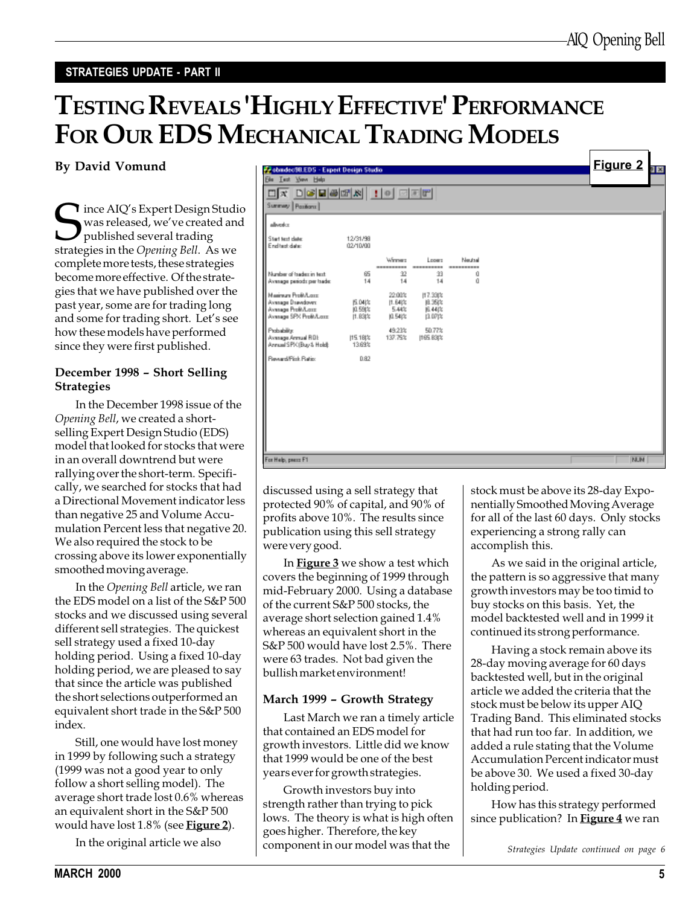#### STRATEGIES UPDATE - PART II

# TESTING REVEALS 'HIGHLY EFFECTIVE' PERFORMANCE FOR OUR EDS MECHANICAL TRADING MODELS

By David Vomund

ince AIQ's Expert Design Studio was released, we've created and published several trading strategies in the Opening Bell. As we complete more tests, these strategies become more effective. Of the strategies that we have published over the past year, some are for trading long and some for trading short. Let's see how these models have performed since they were first published.

#### December 1998 - Short Selling **Strategies**

In the December 1998 issue of the Opening Bell, we created a shortselling Expert Design Studio (EDS) model that looked for stocks that were in an overall downtrend but were rallying over the short-term. Specifically, we searched for stocks that had a Directional Movement indicator less than negative 25 and Volume Accumulation Percent less that negative 20. We also required the stock to be crossing above its lower exponentially smoothed moving average.

In the Opening Bell article, we ran the EDS model on a list of the S&P 500 stocks and we discussed using several different sell strategies. The quickest sell strategy used a fixed 10-day holding period. Using a fixed 10-day holding period, we are pleased to say that since the article was published the short selections outperformed an equivalent short trade in the S&P 500 index.

Still, one would have lost money in 1999 by following such a strategy (1999 was not a good year to only follow a short selling model). The average short trade lost 0.6% whereas an equivalent short in the S&P 500 would have lost 1.8% (see **Figure 2**).

In the original article we also

| <b>P. condectR.EDS - Expert Design Studio</b>  |                      |                              |                      |                 |  | <b>Figure 2</b> | 카지 |
|------------------------------------------------|----------------------|------------------------------|----------------------|-----------------|--|-----------------|----|
| Film Test View Help                            |                      |                              |                      |                 |  |                 |    |
| <u>deers id dee</u><br>$\Box$                  |                      |                              |                      |                 |  |                 |    |
| Summary Pazitions                              |                      |                              |                      |                 |  |                 |    |
|                                                |                      |                              |                      |                 |  |                 |    |
| aliverka                                       |                      |                              |                      |                 |  |                 |    |
| Start text date:                               | 12/31/98             |                              |                      |                 |  |                 |    |
| End test date:                                 | 02/10/00             |                              |                      |                 |  |                 |    |
|                                                |                      | Weeners                      | Losen                | Neutral         |  |                 |    |
| Number of tradez in text.                      | 65                   | ----------<br>$\mathfrak{D}$ | ----------<br>33     | ----------<br>ű |  |                 |    |
| Average periods per trade:                     | 14                   | 14                           | 14                   | ű               |  |                 |    |
| Mainun ProBA are:                              |                      | 22.00%                       | 117.33(%             |                 |  |                 |    |
| Average Drawdown:<br>Average Profit/Lass       | <b>压叫站</b><br>0.59(% | $[1.64]$ %<br>5.44%          | 阻35次<br><b>图 44次</b> |                 |  |                 |    |
| Average SPX Profit/Lass:                       | [1.B3]%              | 0.54%                        | 13.07比               |                 |  |                 |    |
| Probability:                                   |                      | 49.23%                       | 50.77%               |                 |  |                 |    |
| Average Armual ROL<br>Annual SPK (Buy & Hold): | 115.18(%)<br>13.69%  | 137.75%                      | 1165.B3(%            |                 |  |                 |    |
| Reward/Fisk Ratio:                             | 0.82                 |                              |                      |                 |  |                 |    |
|                                                |                      |                              |                      |                 |  |                 |    |
|                                                |                      |                              |                      |                 |  |                 |    |
|                                                |                      |                              |                      |                 |  |                 |    |
|                                                |                      |                              |                      |                 |  |                 |    |
|                                                |                      |                              |                      |                 |  |                 |    |
|                                                |                      |                              |                      |                 |  |                 |    |
|                                                |                      |                              |                      |                 |  |                 |    |
|                                                |                      |                              |                      |                 |  |                 |    |
| For Help, peace F1                             |                      |                              |                      |                 |  | NUM             |    |
|                                                |                      |                              |                      |                 |  |                 |    |

discussed using a sell strategy that protected 90% of capital, and 90% of profits above 10%. The results since publication using this sell strategy were very good.

In **Figure 3** we show a test which covers the beginning of 1999 through mid-February 2000. Using a database of the current S&P 500 stocks, the average short selection gained 1.4% whereas an equivalent short in the S&P 500 would have lost 2.5%. There were 63 trades. Not bad given the bullish market environment!

#### March 1999 - Growth Strategy

Last March we ran a timely article that contained an EDS model for growth investors. Little did we know that 1999 would be one of the best years ever for growth strategies.

Growth investors buy into strength rather than trying to pick lows. The theory is what is high often goes higher. Therefore, the key component in our model was that the

stock must be above its 28-day Exponentially Smoothed Moving Average for all of the last 60 days. Only stocks experiencing a strong rally can accomplish this.

As we said in the original article, the pattern is so aggressive that many growth investors may be too timid to buy stocks on this basis. Yet, the model backtested well and in 1999 it continued its strong performance.

Having a stock remain above its 28-day moving average for 60 days backtested well, but in the original article we added the criteria that the stock must be below its upper AIQ Trading Band. This eliminated stocks that had run too far. In addition, we added a rule stating that the Volume Accumulation Percent indicator must be above 30. We used a fixed 30-day holding period.

How has this strategy performed since publication? In **Figure 4** we ran

Strategies Update continued on page 6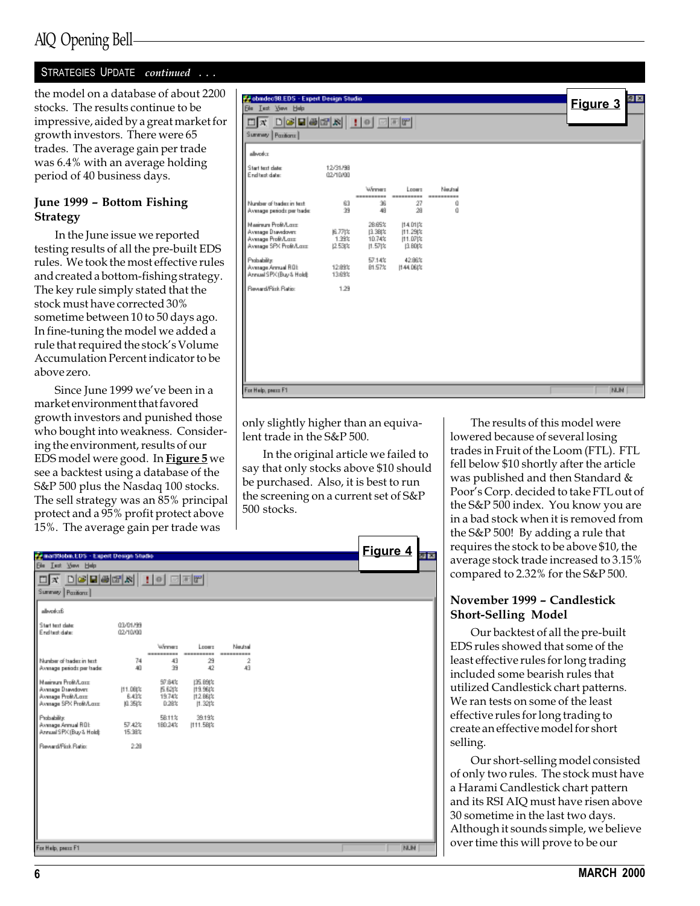## AIQ Opening Bell

#### STRATEGIES UPDATE continued ...

the model on a database of about 2200 stocks. The results continue to be impressive, aided by a great market for growth investors. There were 65 trades. The average gain per trade was 6.4% with an average holding period of 40 business days.

#### June 1999 - Bottom Fishing **Strategy**

In the June issue we reported testing results of all the pre-built EDS rules. We took the most effective rules and created a bottom-fishing strategy. The key rule simply stated that the stock must have corrected 30% sometime between 10 to 50 days ago. In fine-tuning the model we added a rule that required the stock's Volume Accumulation Percent indicator to be above zero.

Since June 1999 we've been in a market environment that favored growth investors and punished those who bought into weakness. Considering the environment, results of our EDS model were good. In Figure 5 we see a backtest using a database of the S&P 500 plus the Nasdaq 100 stocks. The sell strategy was an 85% principal protect and a 95% profit protect above 15%. The average gain per trade was

| Probadec98.EDS - Expert Design Studio<br><b>Ele Lest View Help</b>                        |                              |                                        |                                                |                       |  | 키포<br>Figure 3 |
|-------------------------------------------------------------------------------------------|------------------------------|----------------------------------------|------------------------------------------------|-----------------------|--|----------------|
| <u>da deberek 10 der</u><br>Summary Pazitions                                             |                              |                                        |                                                |                       |  |                |
| allwerker                                                                                 |                              |                                        |                                                |                       |  |                |
| Start text date:<br>End test date:                                                        | 12/31/98<br>02/10/00         |                                        |                                                |                       |  |                |
|                                                                                           |                              | Winner<br>----------                   | Loogra<br>----------                           | Neutral<br>---------- |  |                |
| Number of tradec in text.<br>Average periods per trade:                                   | 63<br>39                     | 36<br>48                               | 27<br>28                                       | ű<br>ű                |  |                |
| Mainun ProBA are<br>Average Drawdown:<br>Average Profit/Lass:<br>Average SPX Profit/Lass: | 6.77  %<br>1.39%<br>12.53(%) | 28.65%<br>13.38 次<br>10.74%<br>11.571% | 114.011%<br>(11.29)%<br>$[11.07]$ %<br>13.80(% |                       |  |                |
| Probability<br>Avenuge Armuel ROL<br>Annual SPK (Buy & Hold):                             | 12.89%<br>13,69%             | 57.14%<br>81.57%                       | 42,86%<br>11-44.068%                           |                       |  |                |
| Reveald Fisk Ratio:                                                                       | 1.29                         |                                        |                                                |                       |  |                |
|                                                                                           |                              |                                        |                                                |                       |  |                |
|                                                                                           |                              |                                        |                                                |                       |  |                |
|                                                                                           |                              |                                        |                                                |                       |  |                |
|                                                                                           |                              |                                        |                                                |                       |  |                |
| For Help, peace F1                                                                        |                              |                                        |                                                |                       |  | <b>NUM</b>     |

only slightly higher than an equivalent trade in the S&P 500.

In the original article we failed to say that only stocks above \$10 should be purchased. Also, it is best to run the screening on a current set of S&P 500 stocks.

| 1970. The avenage gain per trade was<br>77 mart/3obm.EDS - Expert Design Studio<br>Ele Lest Yown Help<br>$\Box$ x $\Box$ c də də $\Box$ k $  \cdot  $ o $  \Box$ e $  $<br>Summary Pazitions |                                |                                  |                                                        |                       |  | Figure 4 |
|----------------------------------------------------------------------------------------------------------------------------------------------------------------------------------------------|--------------------------------|----------------------------------|--------------------------------------------------------|-----------------------|--|----------|
| allocaler&<br>Start text date:<br>End test date:                                                                                                                                             | 03/01/99<br>02/10/00           | Winner                           | Losers                                                 | Neutral               |  |          |
| Number of tradez in text.<br>Average periods per trade:                                                                                                                                      | 74<br>40                       | ----------<br>43<br>39           | ----------<br>29<br>42                                 | ----------<br>2<br>43 |  |          |
| Mainun ProBA ord<br>Average Drawdown<br>Average Profit/Lass<br>Average SPX Proft/Lasz                                                                                                        | (11.08)%<br>6.43%<br>JO. 35(%) | 97.84%<br>医脱体<br>19.74%<br>0.28% | <b>ISE 89(%)</b><br>19.96(%<br>11.2.88 次<br>$[1.32]$ % |                       |  |          |
| Probability:<br>Avenuge Armuel ROE<br>Annual SPK (Buy & Hold):                                                                                                                               | 57.42%<br>15.38%               | 58.11%<br>180.24%                | 39.19%<br>111.58(%)                                    |                       |  |          |
| Reward/Pisk Ratio:                                                                                                                                                                           | 2.28                           |                                  |                                                        |                       |  |          |
| For Help, peace F1                                                                                                                                                                           |                                |                                  |                                                        |                       |  | NUM      |

The results of this model were lowered because of several losing trades in Fruit of the Loom (FTL). FTL fell below \$10 shortly after the article was published and then Standard & Poor's Corp. decided to take FTL out of the S&P 500 index. You know you are in a bad stock when it is removed from the S&P 500! By adding a rule that requires the stock to be above \$10, the average stock trade increased to 3.15% compared to 2.32% for the S&P 500.

#### November 1999 - Candlestick Short-Selling Model

Our backtest of all the pre-built EDS rules showed that some of the least effective rules for long trading included some bearish rules that utilized Candlestick chart patterns. We ran tests on some of the least effective rules for long trading to create an effective model for short selling.

Our short-selling model consisted of only two rules. The stock must have a Harami Candlestick chart pattern and its RSI AIQ must have risen above 30 sometime in the last two days. Although it sounds simple, we believe over time this will prove to be our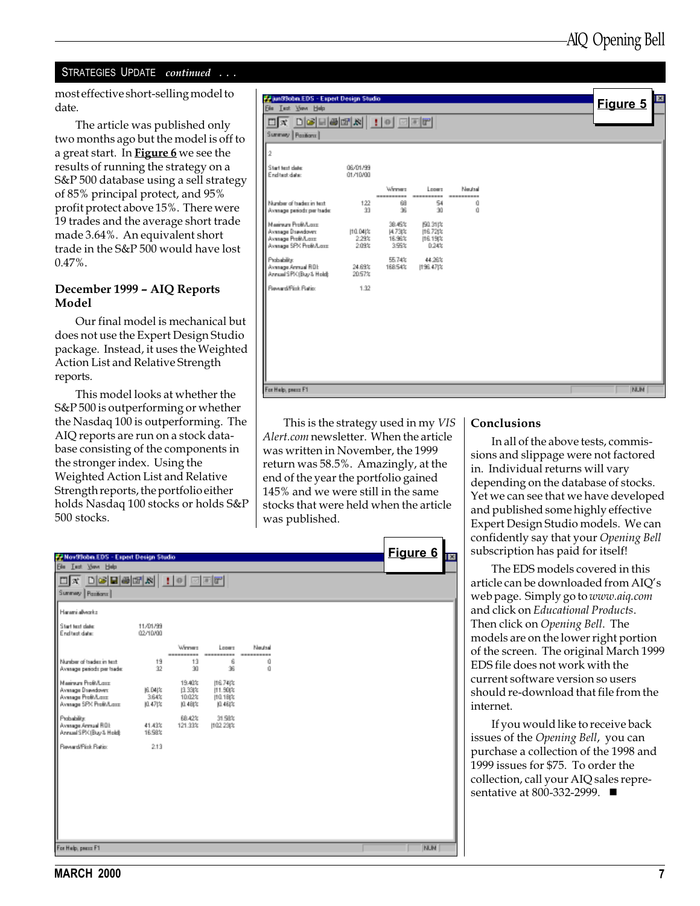#### STRATEGIES UPDATE continued . . .

most effective short-selling model to date.

The article was published only two months ago but the model is off to a great start. In **Figure 6** we see the results of running the strategy on a S&P 500 database using a sell strategy of 85% principal protect, and 95% profit protect above 15%. There were 19 trades and the average short trade made 3.64%. An equivalent short trade in the S&P 500 would have lost 0.47%.

#### December 1999 - AIQ Reports Model

Our final model is mechanical but does not use the Expert Design Studio package. Instead, it uses the Weighted Action List and Relative Strength reports.

This model looks at whether the S&P 500 is outperforming or whether the Nasdaq 100 is outperforming. The AIQ reports are run on a stock database consisting of the components in the stronger index. Using the Weighted Action List and Relative Strength reports, the portfolio either holds Nasdaq 100 stocks or holds S&P 500 stocks.

| $D[\mathcal{S}]\boxplus[\mathcal{B}]\boxplus[\mathcal{R}]\ \underline{1}[\circ]\boxplus[\mathcal{E}]\boxplus$<br>$\Box$ $\mathbf{x}$<br>Summey Pasifiant<br>2<br>Start text date:<br>End test date:<br>Number of tradec in text. | 06/01/99<br>01/10/00<br>122 | Weener<br>----------     |                         |                       |  |            |
|----------------------------------------------------------------------------------------------------------------------------------------------------------------------------------------------------------------------------------|-----------------------------|--------------------------|-------------------------|-----------------------|--|------------|
|                                                                                                                                                                                                                                  |                             |                          |                         |                       |  |            |
|                                                                                                                                                                                                                                  |                             |                          |                         |                       |  |            |
|                                                                                                                                                                                                                                  |                             |                          |                         |                       |  |            |
|                                                                                                                                                                                                                                  |                             |                          |                         |                       |  |            |
|                                                                                                                                                                                                                                  |                             |                          | Longro<br>----------    | Neutral<br>---------- |  |            |
| Average periods per trade:                                                                                                                                                                                                       | 33                          | 68<br>36                 | 54<br>30                | ű<br>ű                |  |            |
| Mainun ProBA are<br>Average Drawdown                                                                                                                                                                                             | 110.04/%                    | 38.45%<br><b>H.73t's</b> | <b>图31次</b><br>116.72 % |                       |  |            |
| Average Profit/Lass<br>Average SPX Profit/Lass:                                                                                                                                                                                  | 2.29%<br>2.09%              | 16.98%<br>3.99%          | 116.19(%<br>0.24%       |                       |  |            |
| Probability:<br>Avenage Armual ROL<br>Annual SPK (Buy & Hold):                                                                                                                                                                   | 24.69%<br>20.57%            | 55.74%<br>168.54%        | 44.26%<br>198.47(%      |                       |  |            |
| Reveald Fisk Ratio                                                                                                                                                                                                               | 1.92                        |                          |                         |                       |  |            |
|                                                                                                                                                                                                                                  |                             |                          |                         |                       |  |            |
|                                                                                                                                                                                                                                  |                             |                          |                         |                       |  |            |
|                                                                                                                                                                                                                                  |                             |                          |                         |                       |  |            |
|                                                                                                                                                                                                                                  |                             |                          |                         |                       |  |            |
|                                                                                                                                                                                                                                  |                             |                          |                         |                       |  |            |
| For Help, peace F1                                                                                                                                                                                                               |                             |                          |                         |                       |  | <b>NUM</b> |

This is the strategy used in my VIS Alert.com newsletter. When the article was written in November, the 1999 return was 58.5%. Amazingly, at the end of the year the portfolio gained 145% and we were still in the same stocks that were held when the article was published.

| Conclusions |
|-------------|
|             |

In all of the above tests, commissions and slippage were not factored in. Individual returns will vary depending on the database of stocks. Yet we can see that we have developed and published some highly effective Expert Design Studio models. We can confidently say that your Opening Bell subscription has paid for itself!

The EDS models covered in this article can be downloaded from AIQ's web page. Simply go to www.aiq.com and click on Educational Products. Then click on Opening Bell. The models are on the lower right portion of the screen. The original March 1999 EDS file does not work with the current software version so users should re-download that file from the internet.

If you would like to receive back issues of the Opening Bell, you can purchase a collection of the 1998 and 1999 issues for \$75. To order the collection, call your AIQ sales representative at 800-332-2999.  $\blacksquare$ 

| <b>F. Nov99obm.EDS - Expert Design Studio</b>                                           |                          |                                          |                                            |                                 |  | Figure 6   | Īх |
|-----------------------------------------------------------------------------------------|--------------------------|------------------------------------------|--------------------------------------------|---------------------------------|--|------------|----|
| <b>Ele Lest Your Help</b>                                                               |                          |                                          |                                            |                                 |  |            |    |
| $\Box$ x $\Box$ Gebek $\Box$ $\Box$<br>Summey   Pazitions                               |                          |                                          |                                            |                                 |  |            |    |
| Harani alvezko                                                                          |                          |                                          |                                            |                                 |  |            |    |
| Start text date:<br>End test date:                                                      | 11/01/99<br>02/10/00     |                                          |                                            |                                 |  |            |    |
| Number of tradez in text.<br>Average periods per trade:                                 | 19<br>32                 | Winner<br>----------<br>13<br>30         | Lopers<br>----------<br>6<br>36            | Neutral<br>----------<br>ű<br>ű |  |            |    |
| Mainun ProBA are<br>Average Drawdown<br>Avesage Profit/Lass<br>Average SPX Profit/Lass: | 6.04 %<br>3.64%<br>0.47次 | 19.40%<br>13.33 %<br>10.02%<br>JO. 4B(%) | 116.74 (%)<br>11.90(%<br>110.18 %<br>0.48次 |                                 |  |            |    |
| Probability:<br>Avenuge Armuel ROL<br>Annual SPK (Buy & Hold):                          | 41.43%<br>16.58%         | 68.42%<br>121.33%                        | 31.58%<br>1102.23(%                        |                                 |  |            |    |
| Reward/Pick Ratio:                                                                      | 213                      |                                          |                                            |                                 |  |            |    |
|                                                                                         |                          |                                          |                                            |                                 |  |            |    |
|                                                                                         |                          |                                          |                                            |                                 |  |            |    |
| For Help, peace F1                                                                      |                          |                                          |                                            |                                 |  | <b>NUM</b> |    |